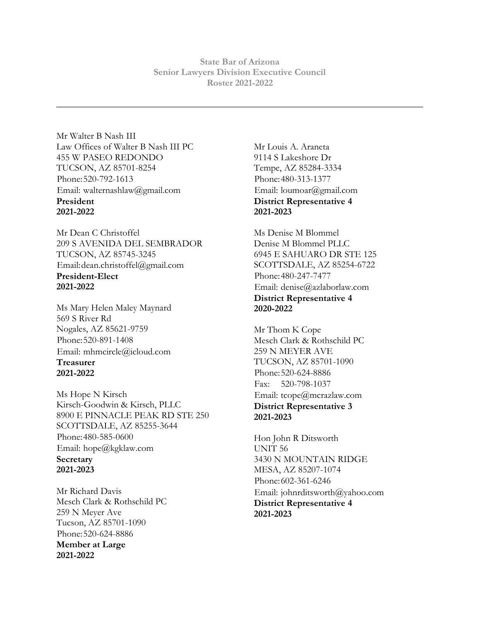**State Bar of Arizona Senior Lawyers Division Executive Council Roster 2021-2022**

Mr Walter B Nash III Law Offices of Walter B Nash III PC 455 W PASEO REDONDO TUCSON, AZ 85701-8254 Phone:520-792-1613 Email: walternashlaw@gmail.com **President 2021-2022**

Mr Dean C Christoffel 209 S AVENIDA DEL SEMBRADOR TUCSON, AZ 85745-3245 Email:dean.christoffel@gmail.com **President-Elect 2021-2022**

Ms Mary Helen Maley Maynard 569 S River Rd Nogales, AZ 85621-9759 Phone:520-891-1408 Email: mhmcircle@icloud.com **Treasurer 2021-2022**

Ms Hope N Kirsch Kirsch-Goodwin & Kirsch, PLLC 8900 E PINNACLE PEAK RD STE 250 SCOTTSDALE, AZ 85255-3644 Phone:480-585-0600 Email: hope@kgklaw.com **Secretary 2021-2023**

Mr Richard Davis Mesch Clark & Rothschild PC 259 N Meyer Ave Tucson, AZ 85701-1090 Phone:520-624-8886 **Member at Large 2021-2022**

Mr Louis A. Araneta 9114 S Lakeshore Dr Tempe, AZ 85284-3334 Phone:480-313-1377 Email: loumoar@gmail.com **District Representative 4 2021-2023**

Ms Denise M Blommel Denise M Blommel PLLC 6945 E SAHUARO DR STE 125 SCOTTSDALE, AZ 85254-6722 Phone:480-247-7477 Email: denise@azlaborlaw.com **District Representative 4 2020-2022**

Mr Thom K Cope Mesch Clark & Rothschild PC 259 N MEYER AVE TUCSON, AZ 85701-1090 Phone:520-624-8886 Fax: 520-798-1037 Email: tcope@mcrazlaw.com **District Representative 3 2021-2023**

Hon John R Ditsworth UNIT 56 3430 N MOUNTAIN RIDGE MESA, AZ 85207-1074 Phone:602-361-6246 Email: johnrditsworth@yahoo.com **District Representative 4 2021-2023**